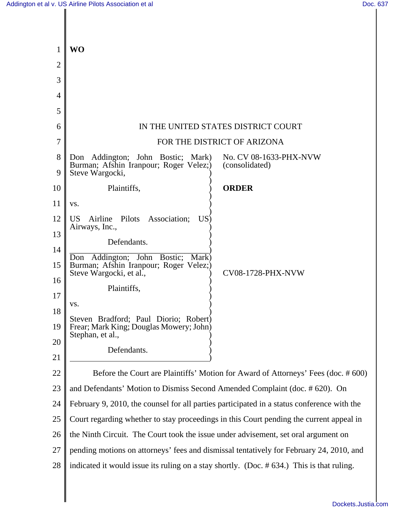| 1              | <b>WO</b>                                                                                                               |
|----------------|-------------------------------------------------------------------------------------------------------------------------|
| $\overline{2}$ |                                                                                                                         |
| 3              |                                                                                                                         |
| $\overline{4}$ |                                                                                                                         |
| 5              |                                                                                                                         |
| 6              | IN THE UNITED STATES DISTRICT COURT                                                                                     |
| 7              | FOR THE DISTRICT OF ARIZONA                                                                                             |
| 8              | No. CV 08-1633-PHX-NVW<br>Don Addington; John Bostic; Mark)<br>Burman; Afshin Iranpour; Roger Velez;)<br>(consolidated) |
| 9              | Steve Wargocki,                                                                                                         |
| 10             | Plaintiffs,<br><b>ORDER</b>                                                                                             |
| 11             | VS.                                                                                                                     |
| 12<br>13       | Pilots<br>Association;<br>US<br>US <sup>-</sup><br>Airline<br>Airways, Inc.,                                            |
|                | Defendants.                                                                                                             |
| 14<br>15       | Don Addington; John Bostic;<br>Mark)<br>Burman; Afshin Iranpour; Roger Velez;)                                          |
| 16             | Steve Wargocki, et al.,<br><b>CV08-1728-PHX-NVW</b>                                                                     |
| 17             | Plaintiffs,                                                                                                             |
| 18             | VS.                                                                                                                     |
| 19             | Steven Bradford; Paul Diorio; Robert)<br>Frear; Mark King; Douglas Mowery; John)<br>Stephan, et al.                     |
| 20             | Defendants.                                                                                                             |
| 21             |                                                                                                                         |
| 22             | Before the Court are Plaintiffs' Motion for Award of Attorneys' Fees (doc. #600)                                        |
| 23             | and Defendants' Motion to Dismiss Second Amended Complaint (doc. #620). On                                              |
| 24             | February 9, 2010, the counsel for all parties participated in a status conference with the                              |
| 25             | Court regarding whether to stay proceedings in this Court pending the current appeal in                                 |
| 26             | the Ninth Circuit. The Court took the issue under advisement, set oral argument on                                      |
| 27             | pending motions on attorneys' fees and dismissal tentatively for February 24, 2010, and                                 |
| 28             | indicated it would issue its ruling on a stay shortly. (Doc. #634.) This is that ruling.                                |